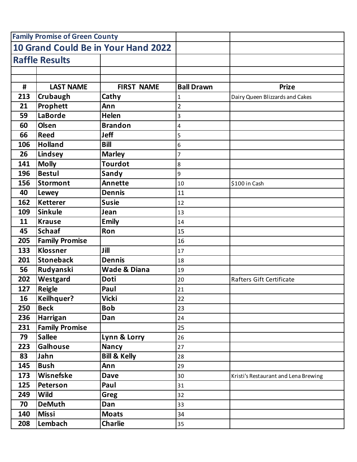| <b>Family Promise of Green County</b> |                       |                                     |                   |                                      |
|---------------------------------------|-----------------------|-------------------------------------|-------------------|--------------------------------------|
|                                       |                       | 10 Grand Could Be in Your Hand 2022 |                   |                                      |
| <b>Raffle Results</b>                 |                       |                                     |                   |                                      |
|                                       |                       |                                     |                   |                                      |
|                                       |                       |                                     |                   |                                      |
| #                                     | <b>LAST NAME</b>      | <b>FIRST NAME</b>                   | <b>Ball Drawn</b> | <b>Prize</b>                         |
| 213                                   | Crubaugh              | Cathy                               | 1                 | Dairy Queen Blizzards and Cakes      |
| 21                                    | Prophett              | Ann                                 | $\overline{2}$    |                                      |
| 59                                    | <b>LaBorde</b>        | <b>Helen</b>                        | 3                 |                                      |
| 60                                    | <b>Olsen</b>          | <b>Brandon</b>                      | 4                 |                                      |
| 66                                    | <b>Reed</b>           | <b>Jeff</b>                         | 5                 |                                      |
| 106                                   | <b>Holland</b>        | <b>Bill</b>                         | 6                 |                                      |
| 26                                    | Lindsey               | <b>Marley</b>                       | 7                 |                                      |
| 141                                   | <b>Molly</b>          | <b>Tourdot</b>                      | 8                 |                                      |
| 196                                   | <b>Bestul</b>         | Sandy                               | 9                 |                                      |
| 156                                   | <b>Stormont</b>       | <b>Annette</b>                      | 10                | \$100 in Cash                        |
| 40                                    | Lewey                 | <b>Dennis</b>                       | 11                |                                      |
| 162                                   | <b>Ketterer</b>       | <b>Susie</b>                        | 12                |                                      |
| 109                                   | <b>Sinkule</b>        | Jean                                | 13                |                                      |
| 11                                    | <b>Krause</b>         | <b>Emily</b>                        | 14                |                                      |
| 45                                    | <b>Schaaf</b>         | Ron                                 | 15                |                                      |
| 205                                   | <b>Family Promise</b> |                                     | 16                |                                      |
| 133                                   | <b>Klossner</b>       | Jill                                | 17                |                                      |
| 201                                   | <b>Stoneback</b>      | <b>Dennis</b>                       | 18                |                                      |
| 56                                    | Rudyanski             | <b>Wade &amp; Diana</b>             | 19                |                                      |
| 202                                   | Westgard              | <b>Doti</b>                         | 20                | Rafters Gift Certificate             |
| 127                                   | <b>Reigle</b>         | Paul                                | 21                |                                      |
| 16                                    | <b>Keilhquer?</b>     | Vicki                               | 22                |                                      |
| 250                                   | <b>Beck</b>           | <b>Bob</b>                          | 23                |                                      |
| 236                                   | Harrigan              | Dan                                 | 24                |                                      |
| 231                                   | <b>Family Promise</b> |                                     | 25                |                                      |
| 79                                    | <b>Sallee</b>         | Lynn & Lorry                        | 26                |                                      |
| 223                                   | <b>Galhouse</b>       | <b>Nancy</b>                        | 27                |                                      |
| 83                                    | Jahn                  | <b>Bill &amp; Kelly</b>             | 28                |                                      |
| 145                                   | <b>Bush</b>           | Ann                                 | 29                |                                      |
| 173                                   | Wisnefske             | <b>Dave</b>                         | 30                | Kristi's Restaurant and Lena Brewing |
| 125                                   | Peterson              | Paul                                | 31                |                                      |
| 249                                   | <b>Wild</b>           | Greg                                | 32                |                                      |
| 70                                    | <b>DeMuth</b>         | Dan                                 | 33                |                                      |
| 140                                   | <b>Missi</b>          | <b>Moats</b>                        | 34                |                                      |
| 208                                   | Lembach               | <b>Charlie</b>                      | 35                |                                      |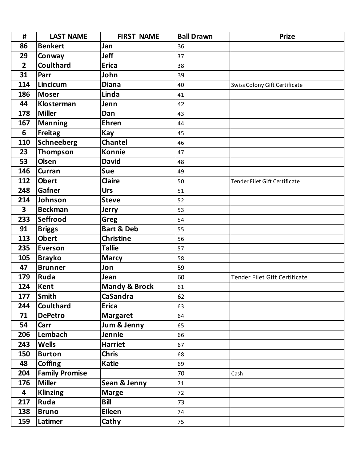| #               | <b>LAST NAME</b>      | <b>FIRST NAME</b>        | <b>Ball Drawn</b> | <b>Prize</b>                  |
|-----------------|-----------------------|--------------------------|-------------------|-------------------------------|
| 86              | <b>Benkert</b>        | Jan                      | 36                |                               |
| 29              | Conway                | <b>Jeff</b>              | 37                |                               |
| $\overline{2}$  | Coulthard             | <b>Erica</b>             | 38                |                               |
| 31              | Parr                  | John                     | 39                |                               |
| 114             | Lincicum              | <b>Diana</b>             | 40                | Swiss Colony Gift Certificate |
| 186             | <b>Moser</b>          | Linda                    | 41                |                               |
| 44              | <b>Klosterman</b>     | Jenn                     | 42                |                               |
| 178             | <b>Miller</b>         | Dan                      | 43                |                               |
| 167             | <b>Manning</b>        | <b>Ehren</b>             | 44                |                               |
| $6\phantom{1}6$ | <b>Freitag</b>        | Kay                      | 45                |                               |
| 110             | <b>Schneeberg</b>     | <b>Chantel</b>           | 46                |                               |
| 23              | Thompson              | <b>Konnie</b>            | 47                |                               |
| 53              | <b>Olsen</b>          | <b>David</b>             | 48                |                               |
| 146             | Curran                | Sue                      | 49                |                               |
| 112             | <b>Obert</b>          | <b>Claire</b>            | 50                | Tender Filet Gift Certificate |
| 248             | Gafner                | <b>Urs</b>               | 51                |                               |
| 214             | Johnson               | <b>Steve</b>             | 52                |                               |
| 3               | <b>Beckman</b>        | <b>Jerry</b>             | 53                |                               |
| 233             | Seffrood              | Greg                     | 54                |                               |
| 91              | <b>Briggs</b>         | <b>Bart &amp; Deb</b>    | 55                |                               |
| 113             | <b>Obert</b>          | <b>Christine</b>         | 56                |                               |
| 235             | <b>Everson</b>        | <b>Tallie</b>            | 57                |                               |
| 105             | <b>Brayko</b>         | <b>Marcy</b>             | 58                |                               |
| 47              | <b>Brunner</b>        | Jon                      | 59                |                               |
| 179             | Ruda                  | Jean                     | 60                | Tender Filet Gift Certificate |
| 124             | <b>Kent</b>           | <b>Mandy &amp; Brock</b> | 61                |                               |
| 177             | <b>Smith</b>          | CaSandra                 | 62                |                               |
| 244             | <b>Coulthard</b>      | <b>Erica</b>             | 63                |                               |
| 71              | <b>DePetro</b>        | <b>Margaret</b>          | 64                |                               |
| 54              | Carr                  | Jum & Jenny              | 65                |                               |
| 206             | Lembach               | Jennie                   | 66                |                               |
| 243             | <b>Wells</b>          | <b>Harriet</b>           | 67                |                               |
| 150             | <b>Burton</b>         | <b>Chris</b>             | 68                |                               |
| 48              | <b>Coffing</b>        | <b>Katie</b>             | 69                |                               |
| 204             | <b>Family Promise</b> |                          | 70                | Cash                          |
| 176             | <b>Miller</b>         | Sean & Jenny             | 71                |                               |
| 4               | <b>Klinzing</b>       | <b>Marge</b>             | 72                |                               |
| 217             | Ruda                  | <b>Bill</b>              | 73                |                               |
| 138             | <b>Bruno</b>          | <b>Eileen</b>            | 74                |                               |
| 159             | Latimer               | Cathy                    | 75                |                               |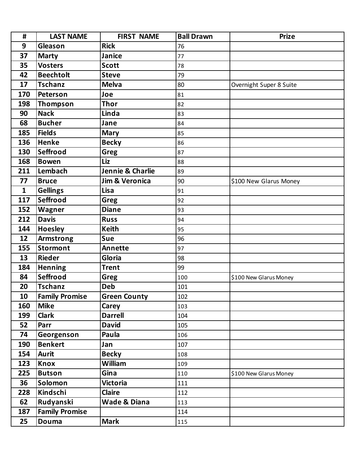| #            | <b>LAST NAME</b>      | <b>FIRST NAME</b>         | <b>Ball Drawn</b> | <b>Prize</b>            |
|--------------|-----------------------|---------------------------|-------------------|-------------------------|
| 9            | Gleason               | <b>Rick</b>               | 76                |                         |
| 37           | <b>Marty</b>          | Janice                    | 77                |                         |
| 35           | <b>Vosters</b>        | <b>Scott</b>              | 78                |                         |
| 42           | <b>Beechtolt</b>      | <b>Steve</b>              | 79                |                         |
| 17           | <b>Tschanz</b>        | <b>Melva</b>              | 80                | Overnight Super 8 Suite |
| 170          | Peterson              | Joe                       | 81                |                         |
| 198          | Thompson              | <b>Thor</b>               | 82                |                         |
| 90           | <b>Nack</b>           | Linda                     | 83                |                         |
| 68           | <b>Bucher</b>         | Jane                      | 84                |                         |
| 185          | <b>Fields</b>         | <b>Mary</b>               | 85                |                         |
| 136          | <b>Henke</b>          | <b>Becky</b>              | 86                |                         |
| 130          | Seffrood              | <b>Greg</b>               | 87                |                         |
| 168          | <b>Bowen</b>          | <b>Liz</b>                | 88                |                         |
| 211          | Lembach               | Jennie & Charlie          | 89                |                         |
| 77           | <b>Bruce</b>          | <b>Jim &amp; Veronica</b> | 90                | \$100 New Glarus Money  |
| $\mathbf{1}$ | <b>Gellings</b>       | Lisa                      | 91                |                         |
| 117          | Seffrood              | Greg                      | 92                |                         |
| 152          | Wagner                | <b>Diane</b>              | 93                |                         |
| 212          | <b>Davis</b>          | <b>Russ</b>               | 94                |                         |
| 144          | <b>Hoesley</b>        | <b>Keith</b>              | 95                |                         |
| 12           | <b>Armstrong</b>      | <b>Sue</b>                | 96                |                         |
| 155          | <b>Stormont</b>       | <b>Annette</b>            | 97                |                         |
| 13           | <b>Rieder</b>         | Gloria                    | 98                |                         |
| 184          | <b>Henning</b>        | <b>Trent</b>              | 99                |                         |
| 84           | Seffrood              | Greg                      | 100               | \$100 New Glarus Money  |
| 20           | <b>Tschanz</b>        | <b>Deb</b>                | 101               |                         |
| 10           | <b>Family Promise</b> | <b>Green County</b>       | 102               |                         |
| 160          | <b>Mike</b>           | Carey                     | 103               |                         |
| 199          | <b>Clark</b>          | <b>Darrell</b>            | 104               |                         |
| 52           | Parr                  | <b>David</b>              | 105               |                         |
| 74           | Georgenson            | Paula                     | 106               |                         |
| 190          | <b>Benkert</b>        | Jan                       | 107               |                         |
| 154          | <b>Aurit</b>          | <b>Becky</b>              | 108               |                         |
| 123          | Knox                  | <b>William</b>            | 109               |                         |
| 225          | <b>Butson</b>         | Gina                      | 110               | \$100 New Glarus Money  |
| 36           | Solomon               | <b>Victoria</b>           | 111               |                         |
| 228          | Kindschi              | <b>Claire</b>             | 112               |                         |
| 62           | Rudyanski             | Wade & Diana              | 113               |                         |
| 187          | <b>Family Promise</b> |                           | 114               |                         |
| 25           | Douma                 | <b>Mark</b>               | 115               |                         |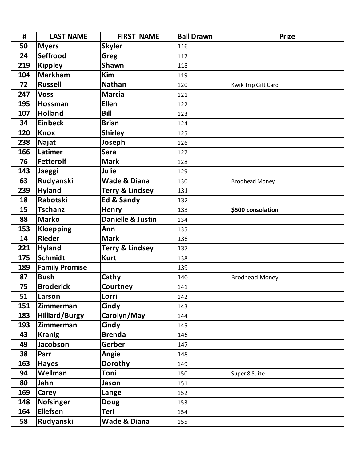| #   | <b>LAST NAME</b>      | <b>FIRST NAME</b>          | <b>Ball Drawn</b> | <b>Prize</b>          |
|-----|-----------------------|----------------------------|-------------------|-----------------------|
| 50  | <b>Myers</b>          | <b>Skyler</b>              | 116               |                       |
| 24  | Seffrood              | Greg                       | 117               |                       |
| 219 | <b>Kippley</b>        | <b>Shawn</b>               | 118               |                       |
| 104 | <b>Markham</b>        | <b>Kim</b>                 | 119               |                       |
| 72  | <b>Russell</b>        | <b>Nathan</b>              | 120               | Kwik Trip Gift Card   |
| 247 | <b>Voss</b>           | <b>Marcia</b>              | 121               |                       |
| 195 | Hossman               | <b>Ellen</b>               | 122               |                       |
| 107 | <b>Holland</b>        | <b>Bill</b>                | 123               |                       |
| 34  | <b>Einbeck</b>        | <b>Brian</b>               | 124               |                       |
| 120 | <b>Knox</b>           | <b>Shirley</b>             | 125               |                       |
| 238 | <b>Najat</b>          | Joseph                     | 126               |                       |
| 166 | Latimer               | <b>Sara</b>                | 127               |                       |
| 76  | <b>Fetterolf</b>      | <b>Mark</b>                | 128               |                       |
| 143 | Jaeggi                | Julie                      | 129               |                       |
| 63  | Rudyanski             | <b>Wade &amp; Diana</b>    | 130               | <b>Brodhead Money</b> |
| 239 | <b>Hyland</b>         | <b>Terry &amp; Lindsey</b> | 131               |                       |
| 18  | Rabotski              | Ed & Sandy                 | 132               |                       |
| 15  | <b>Tschanz</b>        | Henry                      | 133               | \$500 consolation     |
| 88  | <b>Marko</b>          | Danielle & Justin          | 134               |                       |
| 153 | <b>Kloepping</b>      | Ann                        | 135               |                       |
| 14  | <b>Rieder</b>         | <b>Mark</b>                | 136               |                       |
| 221 | <b>Hyland</b>         | <b>Terry &amp; Lindsey</b> | 137               |                       |
| 175 | <b>Schmidt</b>        | <b>Kurt</b>                | 138               |                       |
| 189 | <b>Family Promise</b> |                            | 139               |                       |
| 87  | <b>Bush</b>           | Cathy                      | 140               | <b>Brodhead Money</b> |
| 75  | <b>Broderick</b>      | Courtney                   | 141               |                       |
| 51  | Larson                | Lorri                      | 142               |                       |
| 151 | Zimmerman             | Cindy                      | 143               |                       |
| 183 | <b>Hilliard/Burgy</b> | Carolyn/May                | 144               |                       |
| 193 | Zimmerman             | Cindy                      | 145               |                       |
| 43  | <b>Kranig</b>         | <b>Brenda</b>              | 146               |                       |
| 49  | Jacobson              | Gerber                     | 147               |                       |
| 38  | Parr                  | Angie                      | 148               |                       |
| 163 | <b>Hayes</b>          | Dorothy                    | 149               |                       |
| 94  | Wellman               | Toni                       | 150               | Super 8 Suite         |
| 80  | Jahn                  | Jason                      | 151               |                       |
| 169 | Carey                 | Lange                      | 152               |                       |
| 148 | <b>Nofsinger</b>      | <b>Doug</b>                | 153               |                       |
| 164 | <b>Ellefsen</b>       | Teri                       | 154               |                       |
| 58  | Rudyanski             | Wade & Diana               | 155               |                       |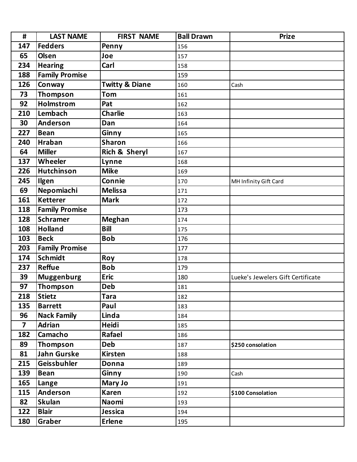| $\pmb{\sharp}$ | <b>LAST NAME</b>      | <b>FIRST NAME</b>         | <b>Ball Drawn</b> | <b>Prize</b>                      |
|----------------|-----------------------|---------------------------|-------------------|-----------------------------------|
| 147            | <b>Fedders</b>        | Penny                     | 156               |                                   |
| 65             | <b>Olsen</b>          | Joe                       | 157               |                                   |
| 234            | <b>Hearing</b>        | Carl                      | 158               |                                   |
| 188            | <b>Family Promise</b> |                           | 159               |                                   |
| 126            | Conway                | <b>Twitty &amp; Diane</b> | 160               | Cash                              |
| 73             | Thompson              | <b>Tom</b>                | 161               |                                   |
| 92             | <b>Holmstrom</b>      | Pat                       | 162               |                                   |
| 210            | Lembach               | <b>Charlie</b>            | 163               |                                   |
| 30             | Anderson              | Dan                       | 164               |                                   |
| 227            | <b>Bean</b>           | Ginny                     | 165               |                                   |
| 240            | <b>Hraban</b>         | <b>Sharon</b>             | 166               |                                   |
| 64             | <b>Miller</b>         | Rich & Sheryl             | 167               |                                   |
| 137            | Wheeler               | Lynne                     | 168               |                                   |
| 226            | <b>Hutchinson</b>     | <b>Mike</b>               | 169               |                                   |
| 245            | <b>Ilgen</b>          | Connie                    | 170               | MH Infinity Gift Card             |
| 69             | Nepomiachi            | <b>Melissa</b>            | 171               |                                   |
| 161            | <b>Ketterer</b>       | <b>Mark</b>               | 172               |                                   |
| 118            | <b>Family Promise</b> |                           | 173               |                                   |
| 128            | <b>Schramer</b>       | <b>Meghan</b>             | 174               |                                   |
| 108            | <b>Holland</b>        | <b>Bill</b>               | 175               |                                   |
| 103            | <b>Beck</b>           | <b>Bob</b>                | 176               |                                   |
| 203            | <b>Family Promise</b> |                           | 177               |                                   |
| 174            | <b>Schmidt</b>        | Roy                       | 178               |                                   |
| 237            | <b>Reffue</b>         | <b>Bob</b>                | 179               |                                   |
| 39             | <b>Muggenburg</b>     | <b>Eric</b>               | 180               | Lueke's Jewelers Gift Certificate |
| 97             | Thompson              | <b>Deb</b>                | 181               |                                   |
| 218            | Stietz                | <b>Tara</b>               | 182               |                                   |
| 135            | <b>Barrett</b>        | Paul                      | 183               |                                   |
| 96             | <b>Nack Family</b>    | Linda                     | 184               |                                   |
| $\overline{7}$ | <b>Adrian</b>         | <b>Heidi</b>              | 185               |                                   |
| 182            | Camacho               | Rafael                    | 186               |                                   |
| 89             | Thompson              | <b>Deb</b>                | 187               | \$250 consolation                 |
| 81             | <b>Jahn Gurske</b>    | <b>Kirsten</b>            | 188               |                                   |
| 215            | Geissbuhler           | Donna                     | 189               |                                   |
| 139            | <b>Bean</b>           | Ginny                     | 190               | Cash                              |
| 165            | Lange                 | Mary Jo                   | 191               |                                   |
| 115            | Anderson              | <b>Karen</b>              | 192               | \$100 Consolation                 |
| 82             | <b>Skulan</b>         | <b>Naomi</b>              | 193               |                                   |
| 122            | <b>Blair</b>          | Jessica                   | 194               |                                   |
| 180            | Graber                | Erlene                    | 195               |                                   |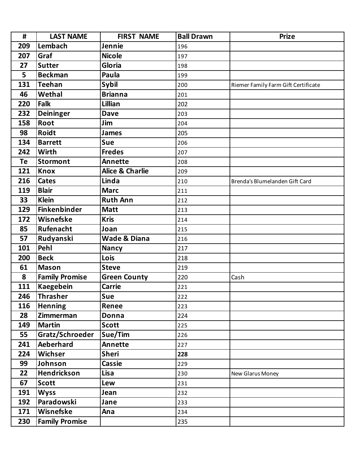| #   | <b>LAST NAME</b>      | <b>FIRST NAME</b>          | <b>Ball Drawn</b> | <b>Prize</b>                        |
|-----|-----------------------|----------------------------|-------------------|-------------------------------------|
| 209 | Lembach               | Jennie                     | 196               |                                     |
| 207 | Graf                  | <b>Nicole</b>              | 197               |                                     |
| 27  | <b>Sutter</b>         | Gloria                     | 198               |                                     |
| 5   | <b>Beckman</b>        | Paula                      | 199               |                                     |
| 131 | <b>Teehan</b>         | Sybil                      | 200               | Riemer Family Farm Gift Certificate |
| 46  | Wethal                | <b>Brianna</b>             | 201               |                                     |
| 220 | <b>Falk</b>           | Lillian                    | 202               |                                     |
| 232 | <b>Deininger</b>      | <b>Dave</b>                | 203               |                                     |
| 158 | Root                  | Jim                        | 204               |                                     |
| 98  | <b>Roidt</b>          | <b>James</b>               | 205               |                                     |
| 134 | <b>Barrett</b>        | Sue                        | 206               |                                     |
| 242 | Wirth                 | <b>Fredes</b>              | 207               |                                     |
| Te  | <b>Stormont</b>       | <b>Annette</b>             | 208               |                                     |
| 121 | <b>Knox</b>           | <b>Alice &amp; Charlie</b> | 209               |                                     |
| 216 | <b>Cates</b>          | Linda                      | 210               | Brenda's Blumelanden Gift Card      |
| 119 | <b>Blair</b>          | <b>Marc</b>                | 211               |                                     |
| 33  | <b>Klein</b>          | <b>Ruth Ann</b>            | 212               |                                     |
| 129 | Finkenbinder          | <b>Matt</b>                | 213               |                                     |
| 172 | Wisnefske             | <b>Kris</b>                | 214               |                                     |
| 85  | Rufenacht             | Joan                       | 215               |                                     |
| 57  | Rudyanski             | <b>Wade &amp; Diana</b>    | 216               |                                     |
| 101 | Pehl                  | <b>Nancy</b>               | 217               |                                     |
| 200 | <b>Beck</b>           | Lois                       | 218               |                                     |
| 61  | <b>Mason</b>          | <b>Steve</b>               | 219               |                                     |
| 8   | <b>Family Promise</b> | <b>Green County</b>        | 220               | Cash                                |
| 111 | Kaegebein             | <b>Carrie</b>              | 221               |                                     |
| 246 | Thrasher              | Sue                        | 222               |                                     |
| 116 | <b>Henning</b>        | Renee                      | 223               |                                     |
| 28  | Zimmerman             | Donna                      | 224               |                                     |
| 149 | <b>Martin</b>         | <b>Scott</b>               | 225               |                                     |
| 55  | Gratz/Schroeder       | Sue/Tim                    | 226               |                                     |
| 241 | Aeberhard             | Annette                    | 227               |                                     |
| 224 | Wichser               | <b>Sheri</b>               | 228               |                                     |
| 99  | Johnson               | <b>Cassie</b>              | 229               |                                     |
| 22  | Hendrickson           | Lisa                       | 230               | New Glarus Money                    |
| 67  | <b>Scott</b>          | Lew                        | 231               |                                     |
| 191 | <b>Wyss</b>           | Jean                       | 232               |                                     |
| 192 | Paradowski            | Jane                       | 233               |                                     |
| 171 | Wisnefske             | Ana                        | 234               |                                     |
| 230 | <b>Family Promise</b> |                            | 235               |                                     |